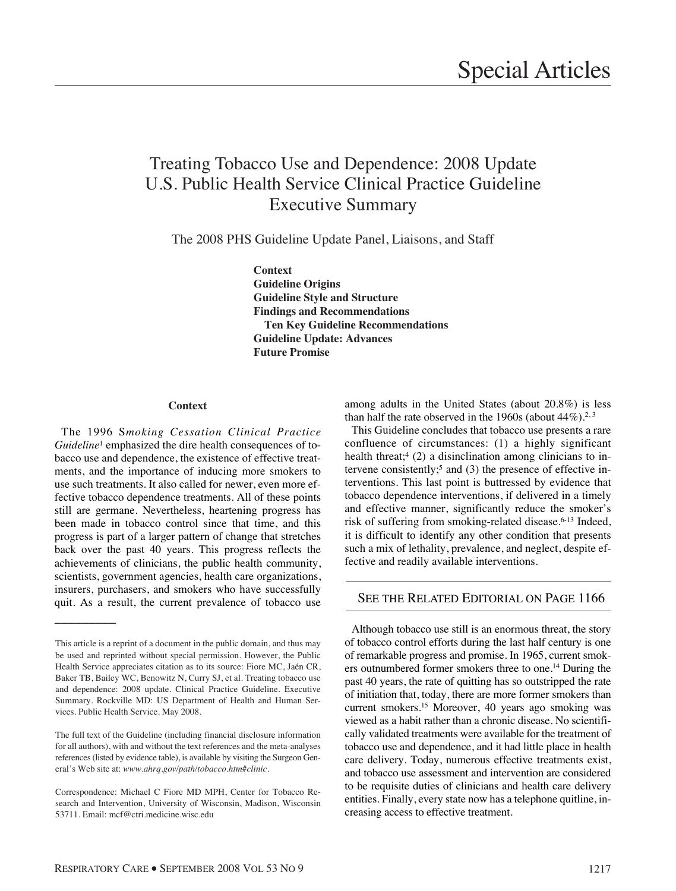# Treating Tobacco Use and Dependence: 2008 Update U.S. Public Health Service Clinical Practice Guideline Executive Summary

The 2008 PHS Guideline Update Panel, Liaisons, and Staff

**Context Guideline Origins Guideline Style and Structure Findings and Recommendations Ten Key Guideline Recommendations Guideline Update: Advances Future Promise**

#### **Context**

The 1996 S*moking Cessation Clinical Practice Guideline*<sup>1</sup> emphasized the dire health consequences of tobacco use and dependence, the existence of effective treatments, and the importance of inducing more smokers to use such treatments. It also called for newer, even more effective tobacco dependence treatments. All of these points still are germane. Nevertheless, heartening progress has been made in tobacco control since that time, and this progress is part of a larger pattern of change that stretches back over the past 40 years. This progress reflects the achievements of clinicians, the public health community, scientists, government agencies, health care organizations, insurers, purchasers, and smokers who have successfully quit. As a result, the current prevalence of tobacco use

\_\_\_\_\_\_\_\_\_

among adults in the United States (about 20.8%) is less than half the rate observed in the 1960s (about  $44\%$ ).<sup>2,3</sup>

This Guideline concludes that tobacco use presents a rare confluence of circumstances: (1) a highly significant health threat; $4(2)$  a disinclination among clinicians to intervene consistently;<sup>5</sup> and (3) the presence of effective interventions. This last point is buttressed by evidence that tobacco dependence interventions, if delivered in a timely and effective manner, significantly reduce the smoker's risk of suffering from smoking-related disease.<sup>6-13</sup> Indeed, it is difficult to identify any other condition that presents such a mix of lethality, prevalence, and neglect, despite effective and readily available interventions.

## SEE THE RELATED EDITORIAL ON PAGE 1166

Although tobacco use still is an enormous threat, the story of tobacco control efforts during the last half century is one of remarkable progress and promise. In 1965, current smokers outnumbered former smokers three to one.14 During the past 40 years, the rate of quitting has so outstripped the rate of initiation that, today, there are more former smokers than current smokers.15 Moreover, 40 years ago smoking was viewed as a habit rather than a chronic disease. No scientifically validated treatments were available for the treatment of tobacco use and dependence, and it had little place in health care delivery. Today, numerous effective treatments exist, and tobacco use assessment and intervention are considered to be requisite duties of clinicians and health care delivery entities. Finally, every state now has a telephone quitline, increasing access to effective treatment.

This article is a reprint of a document in the public domain, and thus may be used and reprinted without special permission. However, the Public Health Service appreciates citation as to its source: Fiore MC, Jaén CR, Baker TB, Bailey WC, Benowitz N, Curry SJ, et al. Treating tobacco use and dependence: 2008 update. Clinical Practice Guideline. Executive Summary. Rockville MD: US Department of Health and Human Services. Public Health Service. May 2008.

The full text of the Guideline (including financial disclosure information for all authors), with and without the text references and the meta-analyses references (listed by evidence table), is available by visiting the Surgeon General's Web site at: *www.ahrq.gov/path/tobacco.htm#clinic*.

Correspondence: Michael C Fiore MD MPH, Center for Tobacco Research and Intervention, University of Wisconsin, Madison, Wisconsin 53711. Email: mcf@ctri.medicine.wisc.edu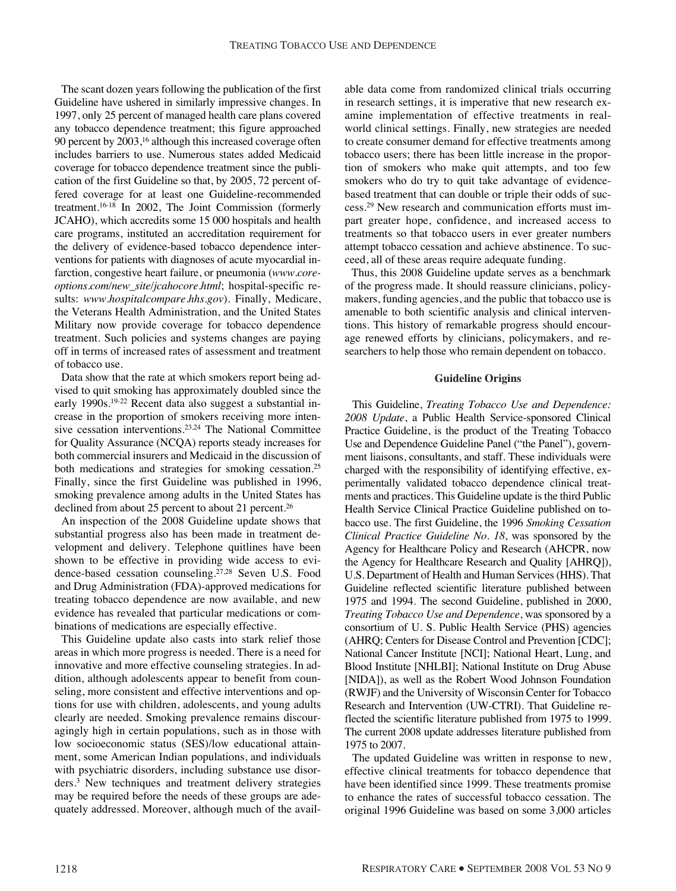The scant dozen years following the publication of the first Guideline have ushered in similarly impressive changes. In 1997, only 25 percent of managed health care plans covered any tobacco dependence treatment; this figure approached 90 percent by 2003,16 although this increased coverage often includes barriers to use. Numerous states added Medicaid coverage for tobacco dependence treatment since the publication of the first Guideline so that, by 2005, 72 percent offered coverage for at least one Guideline-recommended treatment.16-18 In 2002, The Joint Commission (formerly JCAHO), which accredits some 15 000 hospitals and health care programs, instituted an accreditation requirement for the delivery of evidence-based tobacco dependence interventions for patients with diagnoses of acute myocardial infarction, congestive heart failure, or pneumonia (*www.coreoptions.com/new\_site/jcahocore.html*; hospital-specific results: *www.hospitalcompare.hhs.gov*). Finally, Medicare, the Veterans Health Administration, and the United States Military now provide coverage for tobacco dependence treatment. Such policies and systems changes are paying off in terms of increased rates of assessment and treatment of tobacco use.

Data show that the rate at which smokers report being advised to quit smoking has approximately doubled since the early 1990s.19-22 Recent data also suggest a substantial increase in the proportion of smokers receiving more intensive cessation interventions.23,24 The National Committee for Quality Assurance (NCQA) reports steady increases for both commercial insurers and Medicaid in the discussion of both medications and strategies for smoking cessation.25 Finally, since the first Guideline was published in 1996, smoking prevalence among adults in the United States has declined from about 25 percent to about 21 percent.<sup>26</sup>

An inspection of the 2008 Guideline update shows that substantial progress also has been made in treatment development and delivery. Telephone quitlines have been shown to be effective in providing wide access to evidence-based cessation counseling.27,28 Seven U.S. Food and Drug Administration (FDA)-approved medications for treating tobacco dependence are now available, and new evidence has revealed that particular medications or combinations of medications are especially effective.

This Guideline update also casts into stark relief those areas in which more progress is needed. There is a need for innovative and more effective counseling strategies. In addition, although adolescents appear to benefit from counseling, more consistent and effective interventions and options for use with children, adolescents, and young adults clearly are needed. Smoking prevalence remains discouragingly high in certain populations, such as in those with low socioeconomic status (SES)/low educational attainment, some American Indian populations, and individuals with psychiatric disorders, including substance use disorders.3 New techniques and treatment delivery strategies may be required before the needs of these groups are adequately addressed. Moreover, although much of the available data come from randomized clinical trials occurring in research settings, it is imperative that new research examine implementation of effective treatments in realworld clinical settings. Finally, new strategies are needed to create consumer demand for effective treatments among tobacco users; there has been little increase in the proportion of smokers who make quit attempts, and too few smokers who do try to quit take advantage of evidencebased treatment that can double or triple their odds of success.29 New research and communication efforts must impart greater hope, confidence, and increased access to treatments so that tobacco users in ever greater numbers attempt tobacco cessation and achieve abstinence. To succeed, all of these areas require adequate funding.

Thus, this 2008 Guideline update serves as a benchmark of the progress made. It should reassure clinicians, policymakers, funding agencies, and the public that tobacco use is amenable to both scientific analysis and clinical interventions. This history of remarkable progress should encourage renewed efforts by clinicians, policymakers, and researchers to help those who remain dependent on tobacco.

#### **Guideline Origins**

This Guideline, *Treating Tobacco Use and Dependence: 2008 Update*, a Public Health Service-sponsored Clinical Practice Guideline, is the product of the Treating Tobacco Use and Dependence Guideline Panel ("the Panel"), government liaisons, consultants, and staff. These individuals were charged with the responsibility of identifying effective, experimentally validated tobacco dependence clinical treatments and practices. This Guideline update is the third Public Health Service Clinical Practice Guideline published on tobacco use. The first Guideline, the 1996 *Smoking Cessation Clinical Practice Guideline No. 18*, was sponsored by the Agency for Healthcare Policy and Research (AHCPR, now the Agency for Healthcare Research and Quality [AHRQ]), U.S. Department of Health and Human Services (HHS). That Guideline reflected scientific literature published between 1975 and 1994. The second Guideline, published in 2000, *Treating Tobacco Use and Dependence*, was sponsored by a consortium of U. S. Public Health Service (PHS) agencies (AHRQ; Centers for Disease Control and Prevention [CDC]; National Cancer Institute [NCI]; National Heart, Lung, and Blood Institute [NHLBI]; National Institute on Drug Abuse [NIDA]), as well as the Robert Wood Johnson Foundation (RWJF) and the University of Wisconsin Center for Tobacco Research and Intervention (UW-CTRI). That Guideline reflected the scientific literature published from 1975 to 1999. The current 2008 update addresses literature published from 1975 to 2007.

The updated Guideline was written in response to new, effective clinical treatments for tobacco dependence that have been identified since 1999. These treatments promise to enhance the rates of successful tobacco cessation. The original 1996 Guideline was based on some 3,000 articles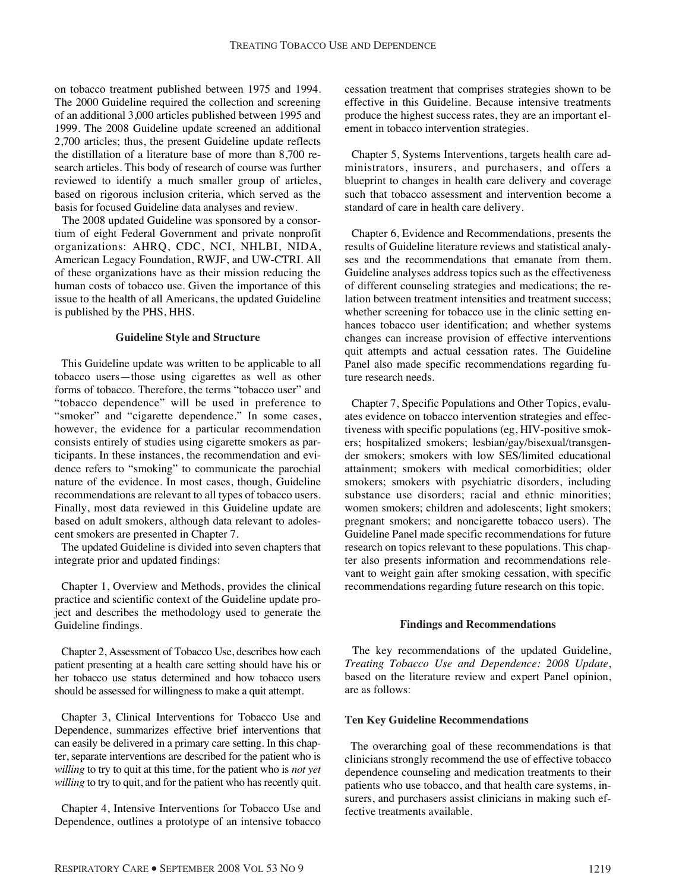on tobacco treatment published between 1975 and 1994. The 2000 Guideline required the collection and screening of an additional 3,000 articles published between 1995 and 1999. The 2008 Guideline update screened an additional 2,700 articles; thus, the present Guideline update reflects the distillation of a literature base of more than 8,700 research articles. This body of research of course was further reviewed to identify a much smaller group of articles, based on rigorous inclusion criteria, which served as the basis for focused Guideline data analyses and review.

The 2008 updated Guideline was sponsored by a consortium of eight Federal Government and private nonprofit organizations: AHRQ, CDC, NCI, NHLBI, NIDA, American Legacy Foundation, RWJF, and UW-CTRI. All of these organizations have as their mission reducing the human costs of tobacco use. Given the importance of this issue to the health of all Americans, the updated Guideline is published by the PHS, HHS.

#### **Guideline Style and Structure**

This Guideline update was written to be applicable to all tobacco users—those using cigarettes as well as other forms of tobacco. Therefore, the terms "tobacco user" and "tobacco dependence" will be used in preference to "smoker" and "cigarette dependence." In some cases, however, the evidence for a particular recommendation consists entirely of studies using cigarette smokers as participants. In these instances, the recommendation and evidence refers to "smoking" to communicate the parochial nature of the evidence. In most cases, though, Guideline recommendations are relevant to all types of tobacco users. Finally, most data reviewed in this Guideline update are based on adult smokers, although data relevant to adolescent smokers are presented in Chapter 7.

The updated Guideline is divided into seven chapters that integrate prior and updated findings:

Chapter 1, Overview and Methods, provides the clinical practice and scientific context of the Guideline update project and describes the methodology used to generate the Guideline findings.

Chapter 2, Assessment of Tobacco Use, describes how each patient presenting at a health care setting should have his or her tobacco use status determined and how tobacco users should be assessed for willingness to make a quit attempt.

Chapter 3, Clinical Interventions for Tobacco Use and Dependence, summarizes effective brief interventions that can easily be delivered in a primary care setting. In this chapter, separate interventions are described for the patient who is *willing* to try to quit at this time, for the patient who is *not yet willing* to try to quit, and for the patient who has recently quit.

Chapter 4, Intensive Interventions for Tobacco Use and Dependence, outlines a prototype of an intensive tobacco

cessation treatment that comprises strategies shown to be effective in this Guideline. Because intensive treatments produce the highest success rates, they are an important element in tobacco intervention strategies.

Chapter 5, Systems Interventions, targets health care administrators, insurers, and purchasers, and offers a blueprint to changes in health care delivery and coverage such that tobacco assessment and intervention become a standard of care in health care delivery.

Chapter 6, Evidence and Recommendations, presents the results of Guideline literature reviews and statistical analyses and the recommendations that emanate from them. Guideline analyses address topics such as the effectiveness of different counseling strategies and medications; the relation between treatment intensities and treatment success; whether screening for tobacco use in the clinic setting enhances tobacco user identification; and whether systems changes can increase provision of effective interventions quit attempts and actual cessation rates. The Guideline Panel also made specific recommendations regarding future research needs.

Chapter 7, Specific Populations and Other Topics, evaluates evidence on tobacco intervention strategies and effectiveness with specific populations (eg, HIV-positive smokers; hospitalized smokers; lesbian/gay/bisexual/transgender smokers; smokers with low SES/limited educational attainment; smokers with medical comorbidities; older smokers; smokers with psychiatric disorders, including substance use disorders; racial and ethnic minorities; women smokers; children and adolescents; light smokers; pregnant smokers; and noncigarette tobacco users). The Guideline Panel made specific recommendations for future research on topics relevant to these populations. This chapter also presents information and recommendations relevant to weight gain after smoking cessation, with specific recommendations regarding future research on this topic.

## **Findings and Recommendations**

The key recommendations of the updated Guideline, *Treating Tobacco Use and Dependence: 2008 Update*, based on the literature review and expert Panel opinion, are as follows:

## **Ten Key Guideline Recommendations**

The overarching goal of these recommendations is that clinicians strongly recommend the use of effective tobacco dependence counseling and medication treatments to their patients who use tobacco, and that health care systems, insurers, and purchasers assist clinicians in making such effective treatments available.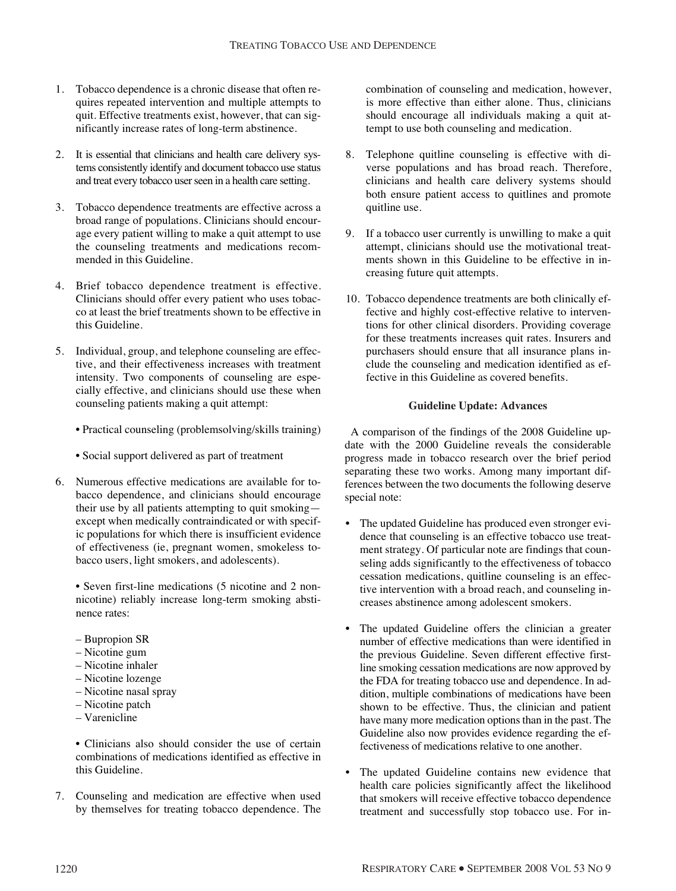- 1. Tobacco dependence is a chronic disease that often requires repeated intervention and multiple attempts to quit. Effective treatments exist, however, that can significantly increase rates of long-term abstinence.
- 2. It is essential that clinicians and health care delivery systems consistently identify and document tobacco use status and treat every tobacco user seen in a health care setting.
- 3. Tobacco dependence treatments are effective across a broad range of populations. Clinicians should encourage every patient willing to make a quit attempt to use the counseling treatments and medications recommended in this Guideline.
- 4. Brief tobacco dependence treatment is effective. Clinicians should offer every patient who uses tobacco at least the brief treatments shown to be effective in this Guideline.
- 5. Individual, group, and telephone counseling are effective, and their effectiveness increases with treatment intensity. Two components of counseling are especially effective, and clinicians should use these when counseling patients making a quit attempt:
	- Practical counseling (problemsolving/skills training)
	- Social support delivered as part of treatment
- 6. Numerous effective medications are available for tobacco dependence, and clinicians should encourage their use by all patients attempting to quit smoking except when medically contraindicated or with specific populations for which there is insufficient evidence of effectiveness (ie, pregnant women, smokeless tobacco users, light smokers, and adolescents).

• Seven first-line medications (5 nicotine and 2 nonnicotine) reliably increase long-term smoking abstinence rates:

- Bupropion SR
- Nicotine gum
- Nicotine inhaler
- Nicotine lozenge
- Nicotine nasal spray
- Nicotine patch
- Varenicline
- Clinicians also should consider the use of certain combinations of medications identified as effective in this Guideline.
- 7. Counseling and medication are effective when used by themselves for treating tobacco dependence. The

combination of counseling and medication, however, is more effective than either alone. Thus, clinicians should encourage all individuals making a quit attempt to use both counseling and medication.

- 8. Telephone quitline counseling is effective with diverse populations and has broad reach. Therefore, clinicians and health care delivery systems should both ensure patient access to quitlines and promote quitline use.
- 9. If a tobacco user currently is unwilling to make a quit attempt, clinicians should use the motivational treatments shown in this Guideline to be effective in increasing future quit attempts.
- 10. Tobacco dependence treatments are both clinically effective and highly cost-effective relative to interventions for other clinical disorders. Providing coverage for these treatments increases quit rates. Insurers and purchasers should ensure that all insurance plans include the counseling and medication identified as effective in this Guideline as covered benefits.

## **Guideline Update: Advances**

A comparison of the findings of the 2008 Guideline update with the 2000 Guideline reveals the considerable progress made in tobacco research over the brief period separating these two works. Among many important differences between the two documents the following deserve special note:

- The updated Guideline has produced even stronger evidence that counseling is an effective tobacco use treatment strategy. Of particular note are findings that counseling adds significantly to the effectiveness of tobacco cessation medications, quitline counseling is an effective intervention with a broad reach, and counseling increases abstinence among adolescent smokers.
- The updated Guideline offers the clinician a greater number of effective medications than were identified in the previous Guideline. Seven different effective firstline smoking cessation medications are now approved by the FDA for treating tobacco use and dependence. In addition, multiple combinations of medications have been shown to be effective. Thus, the clinician and patient have many more medication options than in the past. The Guideline also now provides evidence regarding the effectiveness of medications relative to one another.
- The updated Guideline contains new evidence that health care policies significantly affect the likelihood that smokers will receive effective tobacco dependence treatment and successfully stop tobacco use. For in-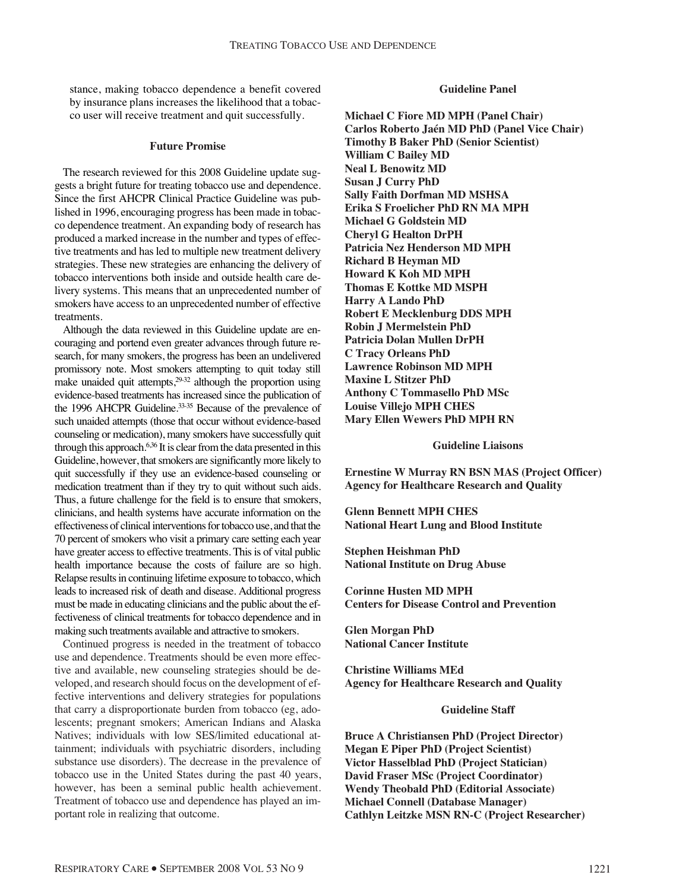stance, making tobacco dependence a benefit covered by insurance plans increases the likelihood that a tobacco user will receive treatment and quit successfully.

#### **Future Promise**

The research reviewed for this 2008 Guideline update suggests a bright future for treating tobacco use and dependence. Since the first AHCPR Clinical Practice Guideline was published in 1996, encouraging progress has been made in tobacco dependence treatment. An expanding body of research has produced a marked increase in the number and types of effective treatments and has led to multiple new treatment delivery strategies. These new strategies are enhancing the delivery of tobacco interventions both inside and outside health care delivery systems. This means that an unprecedented number of smokers have access to an unprecedented number of effective treatments.

Although the data reviewed in this Guideline update are encouraging and portend even greater advances through future research, for many smokers, the progress has been an undelivered promissory note. Most smokers attempting to quit today still make unaided quit attempts,<sup>29-32</sup> although the proportion using evidence-based treatments has increased since the publication of the 1996 AHCPR Guideline.<sup>33-35</sup> Because of the prevalence of such unaided attempts (those that occur without evidence-based counseling or medication), many smokers have successfully quit through this approach.6,36 It is clear from the data presented in this Guideline, however, that smokers are significantly more likely to quit successfully if they use an evidence-based counseling or medication treatment than if they try to quit without such aids. Thus, a future challenge for the field is to ensure that smokers, clinicians, and health systems have accurate information on the effectiveness of clinical interventions for tobacco use, and that the 70 percent of smokers who visit a primary care setting each year have greater access to effective treatments. This is of vital public health importance because the costs of failure are so high. Relapse results in continuing lifetime exposure to tobacco, which leads to increased risk of death and disease. Additional progress must be made in educating clinicians and the public about the effectiveness of clinical treatments for tobacco dependence and in making such treatments available and attractive to smokers.

Continued progress is needed in the treatment of tobacco use and dependence. Treatments should be even more effective and available, new counseling strategies should be developed, and research should focus on the development of effective interventions and delivery strategies for populations that carry a disproportionate burden from tobacco (eg, adolescents; pregnant smokers; American Indians and Alaska Natives; individuals with low SES/limited educational attainment; individuals with psychiatric disorders, including substance use disorders). The decrease in the prevalence of tobacco use in the United States during the past 40 years, however, has been a seminal public health achievement. Treatment of tobacco use and dependence has played an important role in realizing that outcome.

#### **Guideline Panel**

**Michael C Fiore MD MPH (Panel Chair) Carlos Roberto Jaén MD PhD (Panel Vice Chair) Timothy B Baker PhD (Senior Scientist) William C Bailey MD Neal L Benowitz MD Susan J Curry PhD Sally Faith Dorfman MD MSHSA Erika S Froelicher PhD RN MA MPH Michael G Goldstein MD Cheryl G Healton DrPH Patricia Nez Henderson MD MPH Richard B Heyman MD Howard K Koh MD MPH Thomas E Kottke MD MSPH Harry A Lando PhD Robert E Mecklenburg DDS MPH Robin J Mermelstein PhD Patricia Dolan Mullen DrPH C Tracy Orleans PhD Lawrence Robinson MD MPH Maxine L Stitzer PhD Anthony C Tommasello PhD MSc Louise Villejo MPH CHES Mary Ellen Wewers PhD MPH RN**

**Guideline Liaisons** 

**Ernestine W Murray RN BSN MAS (Project Officer) Agency for Healthcare Research and Quality** 

**Glenn Bennett MPH CHES National Heart Lung and Blood Institute** 

**Stephen Heishman PhD National Institute on Drug Abuse** 

**Corinne Husten MD MPH Centers for Disease Control and Prevention** 

**Glen Morgan PhD National Cancer Institute** 

**Christine Williams MEd Agency for Healthcare Research and Quality** 

**Guideline Staff** 

**Bruce A Christiansen PhD (Project Director) Megan E Piper PhD (Project Scientist) Victor Hasselblad PhD (Project Statician) David Fraser MSc (Project Coordinator) Wendy Theobald PhD (Editorial Associate) Michael Connell (Database Manager) Cathlyn Leitzke MSN RN-C (Project Researcher)**